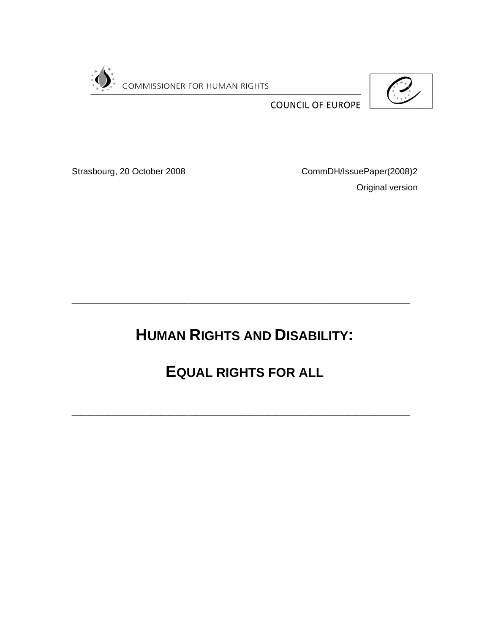

 $\begin{pmatrix} 1 & x & x \\ x & x & x \\ x & x & x \end{pmatrix}$ 

**COUNCIL OF EUROPE** 

Strasbourg, 20 October 2008 CommDH/IssuePaper(2008)2 Original version

**HUMAN RIGHTS AND DISABILITY:**

**\_\_\_\_\_\_\_\_\_\_\_\_\_\_\_\_\_\_\_\_\_\_\_\_\_\_\_\_\_\_\_\_\_\_\_\_\_\_**

**EQUAL RIGHTS FOR ALL**

**\_\_\_\_\_\_\_\_\_\_\_\_\_\_\_\_\_\_\_\_\_\_\_\_\_\_\_\_\_\_\_\_\_\_\_\_\_\_**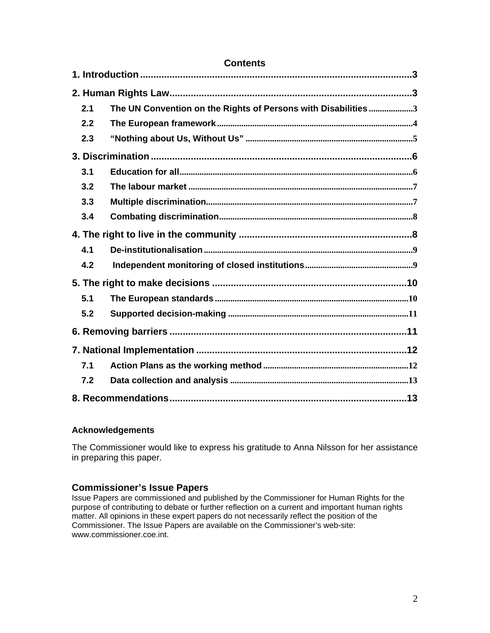| <b>Contents</b> |                                                               |  |
|-----------------|---------------------------------------------------------------|--|
|                 |                                                               |  |
|                 |                                                               |  |
| 2.1             | The UN Convention on the Rights of Persons with Disabilities3 |  |
| 2.2             |                                                               |  |
| 2.3             |                                                               |  |
|                 |                                                               |  |
| 3.1             |                                                               |  |
| 3.2             |                                                               |  |
| 3.3             |                                                               |  |
| 3.4             |                                                               |  |
|                 |                                                               |  |
| 4.1             |                                                               |  |
| 4.2             |                                                               |  |
|                 |                                                               |  |
| 5.1             |                                                               |  |
| 5.2             |                                                               |  |
|                 |                                                               |  |
|                 |                                                               |  |
| 7.1             |                                                               |  |
| 7.2             |                                                               |  |
|                 |                                                               |  |

### **Acknowledgements**

The Commissioner would like to express his gratitude to Anna Nilsson for her assistance in preparing this paper.

### **Commissioner's Issue Papers**

Issue Papers are commissioned and published by the Commissioner for Human Rights for the purpose of contributing to debate or further reflection on a current and important human rights matter. All opinions in these expert papers do not necessarily reflect the position of the Commissioner. The Issue Papers are available on the Commissioner's web-site: [www.commissioner.coe.int](http://www.commissioner.coe.int/).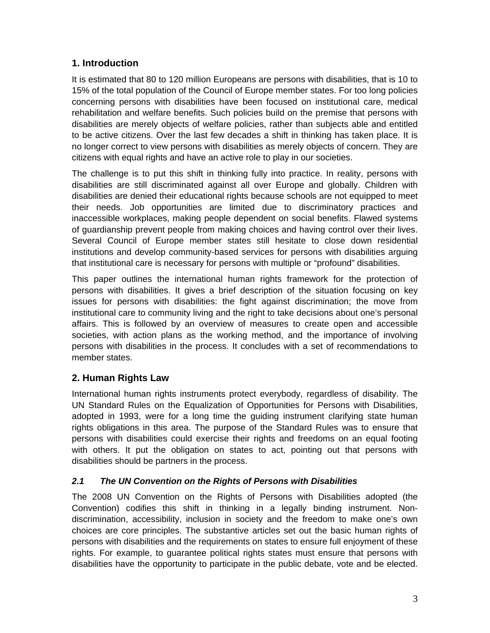## <span id="page-2-0"></span>**1. Introduction**

It is estimated that 80 to 120 million Europeans are persons with disabilities, that is 10 to 15% of the total population of the Council of Europe member states. For too long policies concerning persons with disabilities have been focused on institutional care, medical rehabilitation and welfare benefits. Such policies build on the premise that persons with disabilities are merely objects of welfare policies, rather than subjects able and entitled to be active citizens. Over the last few decades a shift in thinking has taken place. It is no longer correct to view persons with disabilities as merely objects of concern. They are citizens with equal rights and have an active role to play in our societies.

The challenge is to put this shift in thinking fully into practice. In reality, persons with disabilities are still discriminated against all over Europe and globally. Children with disabilities are denied their educational rights because schools are not equipped to meet their needs. Job opportunities are limited due to discriminatory practices and inaccessible workplaces, making people dependent on social benefits. Flawed systems of guardianship prevent people from making choices and having control over their lives. Several Council of Europe member states still hesitate to close down residential institutions and develop community-based services for persons with disabilities arguing that institutional care is necessary for persons with multiple or "profound" disabilities.

This paper outlines the international human rights framework for the protection of persons with disabilities. It gives a brief description of the situation focusing on key issues for persons with disabilities: the fight against discrimination; the move from institutional care to community living and the right to take decisions about one's personal affairs. This is followed by an overview of measures to create open and accessible societies, with action plans as the working method, and the importance of involving persons with disabilities in the process. It concludes with a set of recommendations to member states.

## <span id="page-2-1"></span>**2. Human Rights Law**

International human rights instruments protect everybody, regardless of disability. The UN Standard Rules on the Equalization of Opportunities for Persons with Disabilities, adopted in 1993, were for a long time the guiding instrument clarifying state human rights obligations in this area. The purpose of the Standard Rules was to ensure that persons with disabilities could exercise their rights and freedoms on an equal footing with others. It put the obligation on states to act, pointing out that persons with disabilities should be partners in the process.

### <span id="page-2-2"></span>*2.1 The UN Convention on the Rights of Persons with Disabilities*

The 2008 UN Convention on the Rights of Persons with Disabilities adopted (the Convention) codifies this shift in thinking in a legally binding instrument. Nondiscrimination, accessibility, inclusion in society and the freedom to make one's own choices are core principles. The substantive articles set out the basic human rights of persons with disabilities and the requirements on states to ensure full enjoyment of these rights. For example, to guarantee political rights states must ensure that persons with disabilities have the opportunity to participate in the public debate, vote and be elected.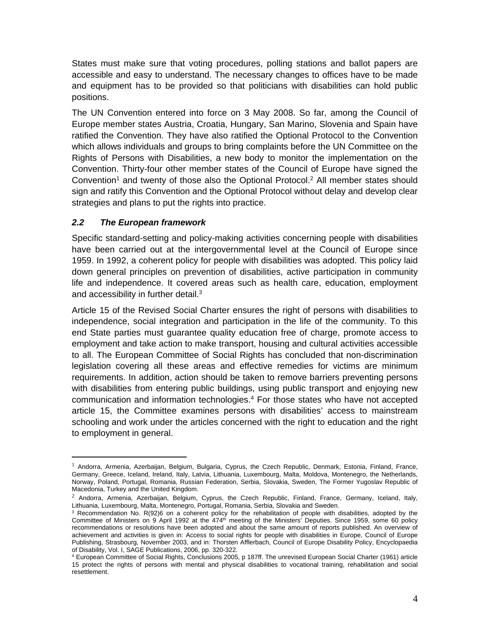States must make sure that voting procedures, polling stations and ballot papers are accessible and easy to understand. The necessary changes to offices have to be made and equipment has to be provided so that politicians with disabilities can hold public positions.

The UN Convention entered into force on 3 May 2008. So far, among the Council of Europe member states Austria, Croatia, Hungary, San Marino, Slovenia and Spain have ratified the Convention. They have also ratified the Optional Protocol to the Convention which allows individuals and groups to bring complaints before the UN Committee on the Rights of Persons with Disabilities, a new body to monitor the implementation on the Convention. Thirty-four other member states of the Council of Europe have signed the Convention<sup>1</sup> and twenty of those also the Optional Protocol.<sup>2</sup> All member states should sign and ratify this Convention and the Optional Protocol without delay and develop clear strategies and plans to put the rights into practice.

### <span id="page-3-0"></span>*2.2 The European framework*

Specific standard-setting and policy-making activities concerning people with disabilities have been carried out at the intergovernmental level at the Council of Europe since 1959. In 1992, a coherent policy for people with disabilities was adopted. This policy laid down general principles on prevention of disabilities, active participation in community life and independence. It covered areas such as health care, education, employment and accessibility in further detail.<sup>3</sup>

Article 15 of the Revised Social Charter ensures the right of persons with disabilities to independence, social integration and participation in the life of the community. To this end State parties must guarantee quality education free of charge, promote access to employment and take action to make transport, housing and cultural activities accessible to all. The European Committee of Social Rights has concluded that non-discrimination legislation covering all these areas and effective remedies for victims are minimum requirements. In addition, action should be taken to remove barriers preventing persons with disabilities from entering public buildings, using public transport and enjoying new communication and information technologies.<sup>4</sup> For those states who have not accepted article 15, the Committee examines persons with disabilities' access to mainstream schooling and work under the articles concerned with the right to education and the right to employment in general.

 $1$  Andorra, Armenia, Azerbaijan, Belgium, Bulgaria, Cyprus, the Czech Republic, Denmark, Estonia, Finland, France, Germany, Greece, Iceland, Ireland, Italy, Latvia, Lithuania, Luxembourg, Malta, Moldova, Montenegro, the Netherlands, Norway, Poland, Portugal, Romania, Russian Federation, Serbia, Slovakia, Sweden, The Former Yugoslav Republic of Macedonia, Turkey and the United Kingdom.

<sup>2</sup> Andorra, Armenia, Azerbaijan, Belgium, Cyprus, the Czech Republic, Finland, France, Germany, Iceland, Italy, Lithuania, Luxembourg, Malta, Montenegro, Portugal, Romania, Serbia, Slovakia and Sweden.

<sup>3</sup> Recommendation No. R(92)6 on a coherent policy for the rehabilitation of people with disabilities, adopted by the Committee of Ministers on 9 April 1992 at the  $474<sup>th</sup>$  meeting of the Ministers' Deputies. Since 1959, some 60 policy recommendations or resolutions have been adopted and about the same amount of reports published. An overview of achievement and activities is given in: Access to social rights for people with disabilities in Europe, Council of Europe Publishing, Strasbourg, November 2003, and in: Thorsten Afflerbach, Council of Europe Disability Policy, Encyclopaedia of Disability, Vol. I, SAGE Publications, 2006, pp. 320-322.

<sup>4</sup> European Committee of Social Rights, Conclusions 2005, p 187ff. The unrevised European Social Charter (1961) article 15 protect the rights of persons with mental and physical disabilities to vocational training, rehabilitation and social resettlement.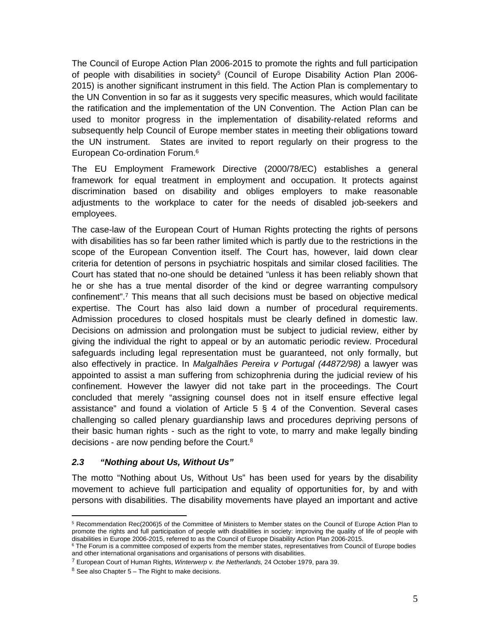The Council of Europe Action Plan 2006-2015 to promote the rights and full participation of people with disabilities in society<sup>5</sup> (Council of Europe Disability Action Plan 2006-2015) is another significant instrument in this field. The Action Plan is complementary to the UN Convention in so far as it suggests very specific measures, which would facilitate the ratification and the implementation of the UN Convention. The Action Plan can be used to monitor progress in the implementation of disability-related reforms and subsequently help Council of Europe member states in meeting their obligations toward the UN instrument. States are invited to report regularly on their progress to the European Co-ordination Forum.<sup>6</sup>

The EU Employment Framework Directive (2000/78/EC) establishes a general framework for equal treatment in employment and occupation. It protects against discrimination based on disability and obliges employers to make reasonable adjustments to the workplace to cater for the needs of disabled job-seekers and employees.

The case-law of the European Court of Human Rights protecting the rights of persons with disabilities has so far been rather limited which is partly due to the restrictions in the scope of the European Convention itself. The Court has, however, laid down clear criteria for detention of persons in psychiatric hospitals and similar closed facilities. The Court has stated that no-one should be detained "unless it has been reliably shown that he or she has a true mental disorder of the kind or degree warranting compulsory confinement".<sup>7</sup> This means that all such decisions must be based on objective medical expertise. The Court has also laid down a number of procedural requirements. Admission procedures to closed hospitals must be clearly defined in domestic law. Decisions on admission and prolongation must be subject to judicial review, either by giving the individual the right to appeal or by an automatic periodic review. Procedural safeguards including legal representation must be guaranteed, not only formally, but also effectively in practice. In *Malgalhães Pereira v Portugal (44872/98)* a lawyer was appointed to assist a man suffering from schizophrenia during the judicial review of his confinement. However the lawyer did not take part in the proceedings. The Court concluded that merely "assigning counsel does not in itself ensure effective legal assistance" and found a violation of Article 5 § 4 of the Convention. Several cases challenging so called plenary guardianship laws and procedures depriving persons of their basic human rights - such as the right to vote, to marry and make legally binding decisions - are now pending before the Court.<sup>8</sup>

### <span id="page-4-0"></span>*2.3 "Nothing about Us, Without Us"*

The motto "Nothing about Us, Without Us" has been used for years by the disability movement to achieve full participation and equality of opportunities for, by and with persons with disabilities. The disability movements have played an important and active

<sup>5</sup> Recommendation Rec(2006)5 of the Committee of Ministers to Member states on the Council of Europe Action Plan to promote the rights and full participation of people with disabilities in society: improving the quality of life of people with disabilities in Europe 2006-2015, referred to as the Council of Europe Disability Action Plan 2006-2015.

<sup>&</sup>lt;sup>6</sup> The Forum is a committee composed of experts from the member states, representatives from Council of Europe bodies and other international organisations and organisations of persons with disabilities.

<sup>7</sup> European Court of Human Rights, *Winterwerp v. the Netherlands,* 24 October 1979, para 39.

 $8$  See also Chapter  $5 -$  The Right to make decisions.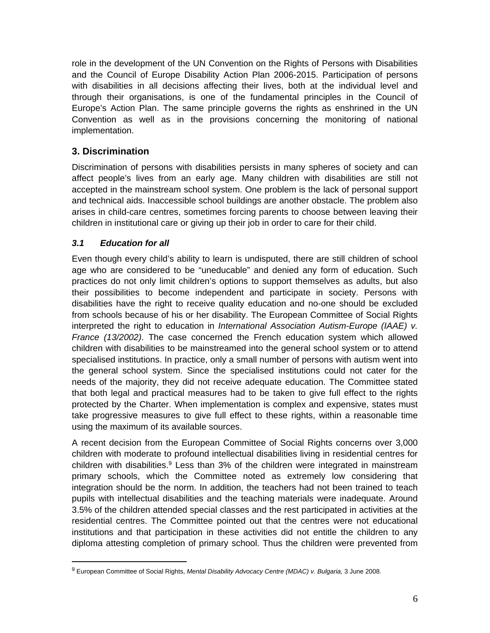role in the development of the UN Convention on the Rights of Persons with Disabilities and the Council of Europe Disability Action Plan 2006-2015. Participation of persons with disabilities in all decisions affecting their lives, both at the individual level and through their organisations, is one of the fundamental principles in the Council of Europe's Action Plan. The same principle governs the rights as enshrined in the UN Convention as well as in the provisions concerning the monitoring of national implementation.

# <span id="page-5-0"></span>**3. Discrimination**

Discrimination of persons with disabilities persists in many spheres of society and can affect people's lives from an early age. Many children with disabilities are still not accepted in the mainstream school system. One problem is the lack of personal support and technical aids. Inaccessible school buildings are another obstacle. The problem also arises in child-care centres, sometimes forcing parents to choose between leaving their children in institutional care or giving up their job in order to care for their child.

### <span id="page-5-1"></span>*3.1 Education for all*

Even though every child's ability to learn is undisputed, there are still children of school age who are considered to be "uneducable" and denied any form of education. Such practices do not only limit children's options to support themselves as adults, but also their possibilities to become independent and participate in society. Persons with disabilities have the right to receive quality education and no-one should be excluded from schools because of his or her disability. The European Committee of Social Rights interpreted the right to education in *International Association Autism-Europe (IAAE) v. France (13/2002)*. The case concerned the French education system which allowed children with disabilities to be mainstreamed into the general school system or to attend specialised institutions. In practice, only a small number of persons with autism went into the general school system. Since the specialised institutions could not cater for the needs of the majority, they did not receive adequate education. The Committee stated that both legal and practical measures had to be taken to give full effect to the rights protected by the Charter. When implementation is complex and expensive, states must take progressive measures to give full effect to these rights, within a reasonable time using the maximum of its available sources.

A recent decision from the European Committee of Social Rights concerns over 3,000 children with moderate to profound intellectual disabilities living in residential centres for children with disabilities.<sup>9</sup> Less than 3% of the children were integrated in mainstream primary schools, which the Committee noted as extremely low considering that integration should be the norm. In addition, the teachers had not been trained to teach pupils with intellectual disabilities and the teaching materials were inadequate. Around 3.5% of the children attended special classes and the rest participated in activities at the residential centres. The Committee pointed out that the centres were not educational institutions and that participation in these activities did not entitle the children to any diploma attesting completion of primary school. Thus the children were prevented from

<sup>&</sup>lt;sup>9</sup> European Committee of Social Rights, Mental Disability Advocacy Centre (MDAC) v. Bulgaria, 3 June 2008.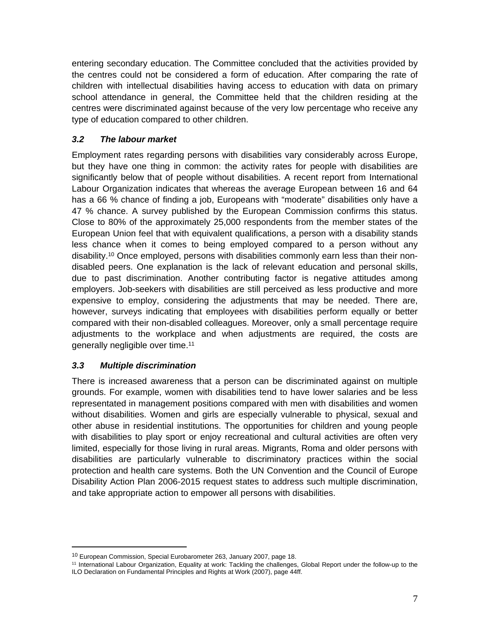entering secondary education. The Committee concluded that the activities provided by the centres could not be considered a form of education. After comparing the rate of children with intellectual disabilities having access to education with data on primary school attendance in general, the Committee held that the children residing at the centres were discriminated against because of the very low percentage who receive any type of education compared to other children.

### <span id="page-6-0"></span>*3.2 The labour market*

Employment rates regarding persons with disabilities vary considerably across Europe, but they have one thing in common: the activity rates for people with disabilities are significantly below that of people without disabilities. A recent report from International Labour Organization indicates that whereas the average European between 16 and 64 has a 66 % chance of finding a job, Europeans with "moderate" disabilities only have a 47 % chance. A survey published by the European Commission confirms this status. Close to 80% of the approximately 25,000 respondents from the member states of the European Union feel that with equivalent qualifications, a person with a disability stands less chance when it comes to being employed compared to a person without any disability.10 Once employed, persons with disabilities commonly earn less than their nondisabled peers. One explanation is the lack of relevant education and personal skills, due to past discrimination. Another contributing factor is negative attitudes among employers. Job-seekers with disabilities are still perceived as less productive and more expensive to employ, considering the adjustments that may be needed. There are, however, surveys indicating that employees with disabilities perform equally or better compared with their non-disabled colleagues. Moreover, only a small percentage require adjustments to the workplace and when adjustments are required, the costs are generally negligible over time.<sup>11</sup>

### <span id="page-6-1"></span>*3.3 Multiple discrimination*

There is increased awareness that a person can be discriminated against on multiple grounds. For example, women with disabilities tend to have lower salaries and be less representated in management positions compared with men with disabilities and women without disabilities. Women and girls are especially vulnerable to physical, sexual and other abuse in residential institutions. The opportunities for children and young people with disabilities to play sport or enjoy recreational and cultural activities are often very limited, especially for those living in rural areas. Migrants, Roma and older persons with disabilities are particularly vulnerable to discriminatory practices within the social protection and health care systems. Both the UN Convention and the Council of Europe Disability Action Plan 2006-2015 request states to address such multiple discrimination, and take appropriate action to empower all persons with disabilities.

<sup>10</sup> European Commission, Special Eurobarometer 263, January 2007, page 18.

<sup>11</sup> International Labour Organization, Equality at work: Tackling the challenges, Global Report under the follow-up to the ILO Declaration on Fundamental Principles and Rights at Work (2007), page 44ff.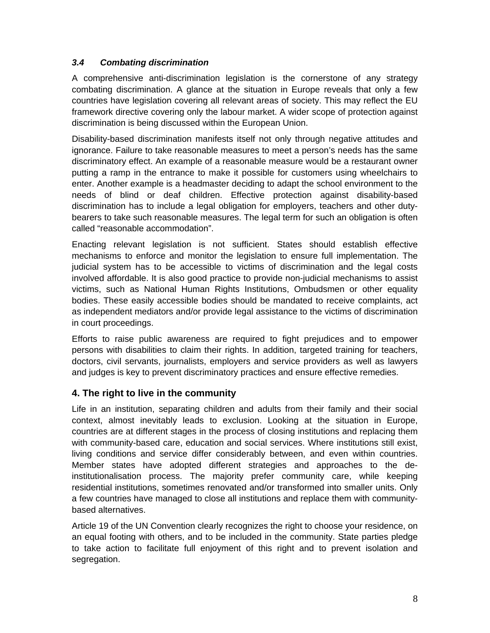### <span id="page-7-0"></span>*3.4 Combating discrimination*

A comprehensive anti-discrimination legislation is the cornerstone of any strategy combating discrimination. A glance at the situation in Europe reveals that only a few countries have legislation covering all relevant areas of society. This may reflect the EU framework directive covering only the labour market. A wider scope of protection against discrimination is being discussed within the European Union.

Disability-based discrimination manifests itself not only through negative attitudes and ignorance. Failure to take reasonable measures to meet a person's needs has the same discriminatory effect. An example of a reasonable measure would be a restaurant owner putting a ramp in the entrance to make it possible for customers using wheelchairs to enter. Another example is a headmaster deciding to adapt the school environment to the needs of blind or deaf children. Effective protection against disability-based discrimination has to include a legal obligation for employers, teachers and other dutybearers to take such reasonable measures. The legal term for such an obligation is often called "reasonable accommodation".

Enacting relevant legislation is not sufficient. States should establish effective mechanisms to enforce and monitor the legislation to ensure full implementation. The judicial system has to be accessible to victims of discrimination and the legal costs involved affordable. It is also good practice to provide non-judicial mechanisms to assist victims, such as National Human Rights Institutions, Ombudsmen or other equality bodies. These easily accessible bodies should be mandated to receive complaints, act as independent mediators and/or provide legal assistance to the victims of discrimination in court proceedings.

Efforts to raise public awareness are required to fight prejudices and to empower persons with disabilities to claim their rights. In addition, targeted training for teachers, doctors, civil servants, journalists, employers and service providers as well as lawyers and judges is key to prevent discriminatory practices and ensure effective remedies.

## <span id="page-7-1"></span>**4. The right to live in the community**

Life in an institution, separating children and adults from their family and their social context, almost inevitably leads to exclusion. Looking at the situation in Europe, countries are at different stages in the process of closing institutions and replacing them with community-based care, education and social services. Where institutions still exist, living conditions and service differ considerably between, and even within countries. Member states have adopted different strategies and approaches to the deinstitutionalisation process. The majority prefer community care, while keeping residential institutions, sometimes renovated and/or transformed into smaller units. Only a few countries have managed to close all institutions and replace them with communitybased alternatives.

Article 19 of the UN Convention clearly recognizes the right to choose your residence, on an equal footing with others, and to be included in the community. State parties pledge to take action to facilitate full enjoyment of this right and to prevent isolation and segregation.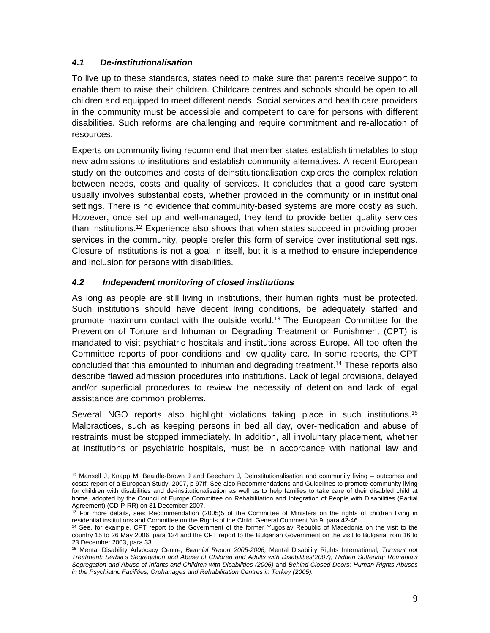#### <span id="page-8-0"></span>*4.1 De-institutionalisation*

To live up to these standards, states need to make sure that parents receive support to enable them to raise their children. Childcare centres and schools should be open to all children and equipped to meet different needs. Social services and health care providers in the community must be accessible and competent to care for persons with different disabilities. Such reforms are challenging and require commitment and re-allocation of resources.

Experts on community living recommend that member states establish timetables to stop new admissions to institutions and establish community alternatives. A recent European study on the outcomes and costs of deinstitutionalisation explores the complex relation between needs, costs and quality of services. It concludes that a good care system usually involves substantial costs, whether provided in the community or in institutional settings. There is no evidence that community-based systems are more costly as such. However, once set up and well-managed, they tend to provide better quality services than institutions.<sup>12</sup> Experience also shows that when states succeed in providing proper services in the community, people prefer this form of service over institutional settings. Closure of institutions is not a goal in itself, but it is a method to ensure independence and inclusion for persons with disabilities.

#### <span id="page-8-1"></span>*4.2 Independent monitoring of closed institutions*

As long as people are still living in institutions, their human rights must be protected. Such institutions should have decent living conditions, be adequately staffed and promote maximum contact with the outside world.<sup>13</sup> The European Committee for the Prevention of Torture and Inhuman or Degrading Treatment or Punishment (CPT) is mandated to visit psychiatric hospitals and institutions across Europe. All too often the Committee reports of poor conditions and low quality care. In some reports, the CPT concluded that this amounted to inhuman and degrading treatment.<sup>14</sup> These reports also describe flawed admission procedures into institutions. Lack of legal provisions, delayed and/or superficial procedures to review the necessity of detention and lack of legal assistance are common problems.

Several NGO reports also highlight violations taking place in such institutions.<sup>15</sup> Malpractices, such as keeping persons in bed all day, over-medication and abuse of restraints must be stopped immediately. In addition, all involuntary placement, whether at institutions or psychiatric hospitals, must be in accordance with national law and

 $12$  Mansell J, Knapp M, Beatdle-Brown J and Beecham J, Deinstitutionalisation and community living – outcomes and costs: report of a European Study, 2007, p 97ff. See also Recommendations and Guidelines to promote community living for children with disabilities and de-institutionalisation as well as to help families to take care of their disabled child at home, adopted by the Council of Europe Committee on Rehabilitation and Integration of People with Disabilities (Partial Agreement) (CD-P-RR) on 31 December 2007.

<sup>&</sup>lt;sup>13</sup> For more details, see: Recommendation (2005)5 of the Committee of Ministers on the rights of children living in residential institutions and Committee on the Rights of the Child, General Comment No 9, para 42-46.

<sup>14</sup> See, for example, CPT report to the Government of the former Yugoslav Republic of Macedonia on the visit to the country 15 to 26 May 2006, para 134 and the CPT report to the Bulgarian Government on the visit to Bulgaria from 16 to 23 December 2003, para 33.

<sup>15</sup> Mental Disability Advocacy Centre, *Biennial Report 2005-2006;* Mental Disability Rights International*, Torment not Treatment: Serbia's Segregation and Abuse of Children and Adults with Disabilities(2007), Hidden Suffering: Romania's*  Segregation and Abuse of Infants and Children with Disabilities (2006) and *Behind Closed Doors: Human Rights Abuses in the Psychiatric Facilities, Orphanages and Rehabilitation Centres in Turkey (2005).*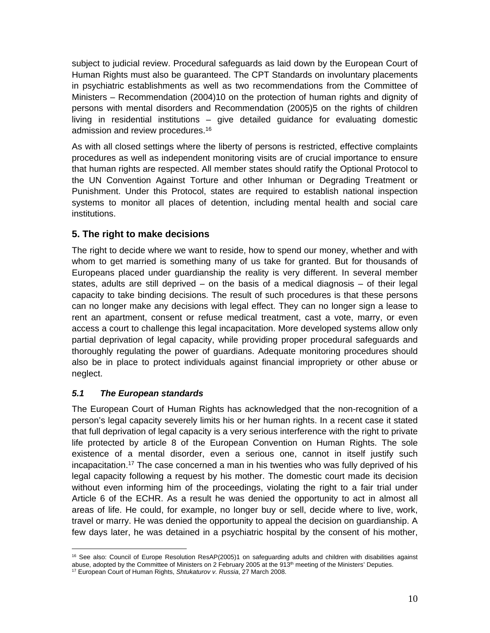subject to judicial review. Procedural safeguards as laid down by the European Court of Human Rights must also be guaranteed. The CPT Standards on involuntary placements in psychiatric establishments as well as two recommendations from the Committee of Ministers – Recommendation (2004)10 on the protection of human rights and dignity of persons with mental disorders and Recommendation (2005)5 on the rights of children living in residential institutions – give detailed guidance for evaluating domestic admission and review procedures.<sup>16</sup>

As with all closed settings where the liberty of persons is restricted, effective complaints procedures as well as independent monitoring visits are of crucial importance to ensure that human rights are respected. All member states should ratify the Optional Protocol to the UN Convention Against Torture and other Inhuman or Degrading Treatment or Punishment. Under this Protocol, states are required to establish national inspection systems to monitor all places of detention, including mental health and social care institutions.

# <span id="page-9-0"></span>**5. The right to make decisions**

The right to decide where we want to reside, how to spend our money, whether and with whom to get married is something many of us take for granted. But for thousands of Europeans placed under guardianship the reality is very different. In several member states, adults are still deprived – on the basis of a medical diagnosis – of their legal capacity to take binding decisions. The result of such procedures is that these persons can no longer make any decisions with legal effect. They can no longer sign a lease to rent an apartment, consent or refuse medical treatment, cast a vote, marry, or even access a court to challenge this legal incapacitation. More developed systems allow only partial deprivation of legal capacity, while providing proper procedural safeguards and thoroughly regulating the power of guardians. Adequate monitoring procedures should also be in place to protect individuals against financial impropriety or other abuse or neglect.

### <span id="page-9-1"></span>*5.1 The European standards*

The European Court of Human Rights has acknowledged that the non-recognition of a person's legal capacity severely limits his or her human rights. In a recent case it stated that full deprivation of legal capacity is a very serious interference with the right to private life protected by article 8 of the European Convention on Human Rights. The sole existence of a mental disorder, even a serious one, cannot in itself justify such incapacitation.<sup>17</sup> The case concerned a man in his twenties who was fully deprived of his legal capacity following a request by his mother. The domestic court made its decision without even informing him of the proceedings, violating the right to a fair trial under Article 6 of the ECHR. As a result he was denied the opportunity to act in almost all areas of life. He could, for example, no longer buy or sell, decide where to live, work, travel or marry. He was denied the opportunity to appeal the decision on guardianship. A few days later, he was detained in a psychiatric hospital by the consent of his mother,

<sup>16</sup> See also: Council of Europe Resolution ResAP(2005)1 on safeguarding adults and children with disabilities against abuse, adopted by the Committee of Ministers on 2 February 2005 at the 913<sup>th</sup> meeting of the Ministers' Deputies. 17 European Court of Human Rights, *Shtukaturov v. Russia*, 27 March 2008.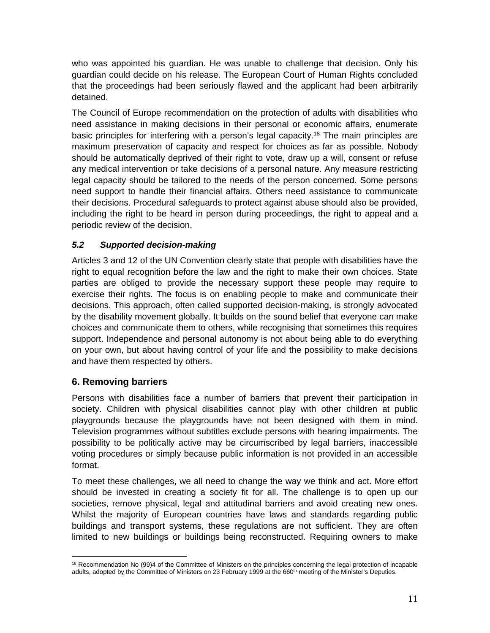who was appointed his guardian. He was unable to challenge that decision. Only his guardian could decide on his release. The European Court of Human Rights concluded that the proceedings had been seriously flawed and the applicant had been arbitrarily detained.

The Council of Europe recommendation on the protection of adults with disabilities who need assistance in making decisions in their personal or economic affairs, enumerate basic principles for interfering with a person's legal capacity.<sup>18</sup> The main principles are maximum preservation of capacity and respect for choices as far as possible. Nobody should be automatically deprived of their right to vote, draw up a will, consent or refuse any medical intervention or take decisions of a personal nature. Any measure restricting legal capacity should be tailored to the needs of the person concerned. Some persons need support to handle their financial affairs. Others need assistance to communicate their decisions. Procedural safeguards to protect against abuse should also be provided, including the right to be heard in person during proceedings, the right to appeal and a periodic review of the decision.

### <span id="page-10-0"></span>*5.2 Supported decision-making*

Articles 3 and 12 of the UN Convention clearly state that people with disabilities have the right to equal recognition before the law and the right to make their own choices. State parties are obliged to provide the necessary support these people may require to exercise their rights. The focus is on enabling people to make and communicate their decisions. This approach, often called supported decision-making, is strongly advocated by the disability movement globally. It builds on the sound belief that everyone can make choices and communicate them to others, while recognising that sometimes this requires support. Independence and personal autonomy is not about being able to do everything on your own, but about having control of your life and the possibility to make decisions and have them respected by others.

## <span id="page-10-1"></span>**6. Removing barriers**

Persons with disabilities face a number of barriers that prevent their participation in society. Children with physical disabilities cannot play with other children at public playgrounds because the playgrounds have not been designed with them in mind. Television programmes without subtitles exclude persons with hearing impairments. The possibility to be politically active may be circumscribed by legal barriers, inaccessible voting procedures or simply because public information is not provided in an accessible format.

To meet these challenges, we all need to change the way we think and act. More effort should be invested in creating a society fit for all. The challenge is to open up our societies, remove physical, legal and attitudinal barriers and avoid creating new ones. Whilst the majority of European countries have laws and standards regarding public buildings and transport systems, these regulations are not sufficient. They are often limited to new buildings or buildings being reconstructed. Requiring owners to make

<sup>&</sup>lt;sup>18</sup> Recommendation No (99)4 of the Committee of Ministers on the principles concerning the legal protection of incapable adults, adopted by the Committee of Ministers on 23 February 1999 at the 660<sup>th</sup> meeting of the Minister's Deputies.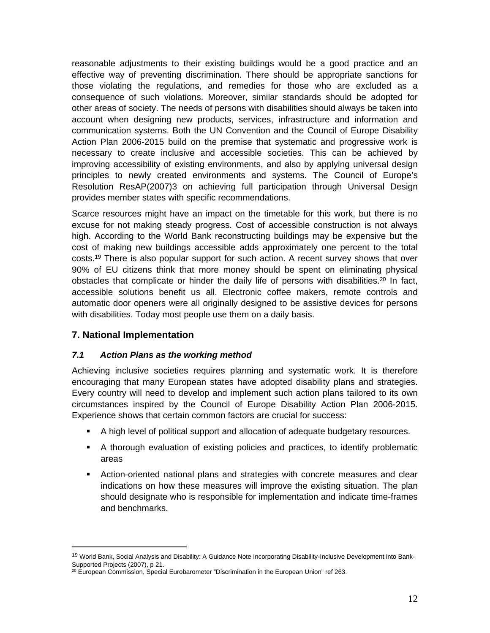reasonable adjustments to their existing buildings would be a good practice and an effective way of preventing discrimination. There should be appropriate sanctions for those violating the regulations, and remedies for those who are excluded as a consequence of such violations. Moreover, similar standards should be adopted for other areas of society. The needs of persons with disabilities should always be taken into account when designing new products, services, infrastructure and information and communication systems. Both the UN Convention and the Council of Europe Disability Action Plan 2006-2015 build on the premise that systematic and progressive work is necessary to create inclusive and accessible societies. This can be achieved by improving accessibility of existing environments, and also by applying universal design principles to newly created environments and systems. The Council of Europe's Resolution ResAP(2007)3 on achieving full participation through Universal Design provides member states with specific recommendations.

Scarce resources might have an impact on the timetable for this work, but there is no excuse for not making steady progress. Cost of accessible construction is not always high. According to the World Bank reconstructing buildings may be expensive but the cost of making new buildings accessible adds approximately one percent to the total costs.<sup>19</sup> There is also popular support for such action. A recent survey shows that over 90% of EU citizens think that more money should be spent on eliminating physical obstacles that complicate or hinder the daily life of persons with disabilities.<sup>20</sup> In fact, accessible solutions benefit us all. Electronic coffee makers, remote controls and automatic door openers were all originally designed to be assistive devices for persons with disabilities. Today most people use them on a daily basis.

### <span id="page-11-0"></span>**7. National Implementation**

### <span id="page-11-1"></span>*7.1 Action Plans as the working method*

Achieving inclusive societies requires planning and systematic work. It is therefore encouraging that many European states have adopted disability plans and strategies. Every country will need to develop and implement such action plans tailored to its own circumstances inspired by the Council of Europe Disability Action Plan 2006-2015. Experience shows that certain common factors are crucial for success:

- A high level of political support and allocation of adequate budgetary resources.
- A thorough evaluation of existing policies and practices, to identify problematic areas
- Action-oriented national plans and strategies with concrete measures and clear indications on how these measures will improve the existing situation. The plan should designate who is responsible for implementation and indicate time-frames and benchmarks.

<sup>&</sup>lt;sup>19</sup> World Bank, Social Analysis and Disability: A Guidance Note Incorporating Disability-Inclusive Development into Bank-Supported Projects (2007), p 21.

<sup>&</sup>lt;sup>20</sup> European Commission, Special Eurobarometer "Discrimination in the European Union" ref 263.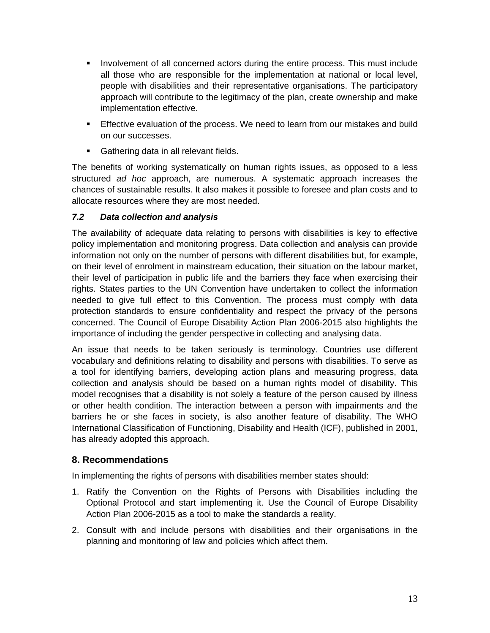- Involvement of all concerned actors during the entire process. This must include all those who are responsible for the implementation at national or local level, people with disabilities and their representative organisations. The participatory approach will contribute to the legitimacy of the plan, create ownership and make implementation effective.
- Effective evaluation of the process. We need to learn from our mistakes and build on our successes.
- **Gathering data in all relevant fields.**

The benefits of working systematically on human rights issues, as opposed to a less structured *ad hoc* approach, are numerous. A systematic approach increases the chances of sustainable results. It also makes it possible to foresee and plan costs and to allocate resources where they are most needed.

### <span id="page-12-0"></span>*7.2 Data collection and analysis*

The availability of adequate data relating to persons with disabilities is key to effective policy implementation and monitoring progress. Data collection and analysis can provide information not only on the number of persons with different disabilities but, for example, on their level of enrolment in mainstream education, their situation on the labour market, their level of participation in public life and the barriers they face when exercising their rights. States parties to the UN Convention have undertaken to collect the information needed to give full effect to this Convention. The process must comply with data protection standards to ensure confidentiality and respect the privacy of the persons concerned. The Council of Europe Disability Action Plan 2006-2015 also highlights the importance of including the gender perspective in collecting and analysing data.

An issue that needs to be taken seriously is terminology. Countries use different vocabulary and definitions relating to disability and persons with disabilities. To serve as a tool for identifying barriers, developing action plans and measuring progress, data collection and analysis should be based on a human rights model of disability. This model recognises that a disability is not solely a feature of the person caused by illness or other health condition. The interaction between a person with impairments and the barriers he or she faces in society, is also another feature of disability. The WHO International Classification of Functioning, Disability and Health (ICF), published in 2001, has already adopted this approach.

## <span id="page-12-1"></span>**8. Recommendations**

In implementing the rights of persons with disabilities member states should:

- 1. Ratify the Convention on the Rights of Persons with Disabilities including the Optional Protocol and start implementing it. Use the Council of Europe Disability Action Plan 2006-2015 as a tool to make the standards a reality.
- 2. Consult with and include persons with disabilities and their organisations in the planning and monitoring of law and policies which affect them.